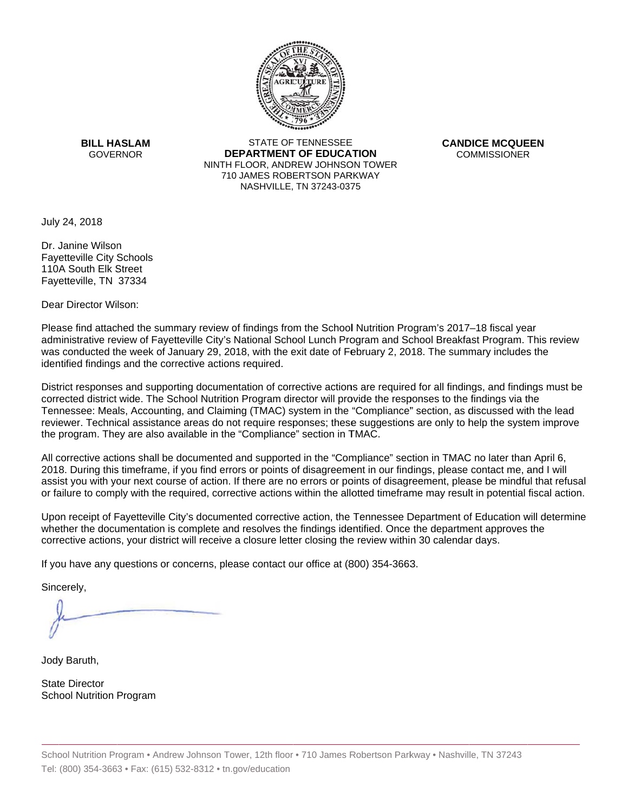

**BILL HASLAM** GOVERNOR **DEI** 

STATE OF TENNESSEE **EPARTMENT OF EDUCATION** NINTH FLOOR, ANDREW JOHNSON TOWER 710 JAMES ROBERTSON PARKWAY NASHVILLE,TN 37243-0375

**CANDICE MCQUEEN** CO OMMISSIONER

July 24, 2018

110A South Elk Street Dr. Janine Wilson Fayetteville City Schools Fayetteville, TN 37334

Dear Director Wilson:

Please find attached the summary review of findings from the School Nutrition Program's 2017–18 fiscal year administrative review of Fayetteville City's National School Lunch Program and School Breakfast Program. This review was conducted the week of January 29, 2018, with the exit date of February 2, 2018. The summary includes the identified findings and the corrective actions required.

Tennessee: Meals, Accounting, and Claiming (TMAC) system in the "Compliance" section, as discussed with the lead District responses and supporting documentation of corrective actions are required for all findings, and findings must be corrected district wide. The School Nutrition Program director will provide the responses to the findings via the reviewer. Technical assistance areas do not require responses; these suggestions are only to help the system improve the program. They are also available in the "Compliance" section in TMAC.

All corrective actions shall be documented and supported in the "Compliance" section in TMAC no later than April 6, 2018. During this timeframe, if you find errors or points of disagreement in our findings, please contact me, and I will assist you with your next course of action. If there are no errors or points of disagreement, please be mindful that refusal or failure to comply with the required, corrective actions within the allotted timeframe may result in potential fiscal action.

Upon receipt of Fayetteville City's documented corrective action, the Tennessee Department of Education will determine whether the documentation is complete and resolves the findings identified. Once the department approves the corrective actions, your district will receive a closure letter closing the review within 30 calendar days.

If you have any questions or concerns, please contact our office at (800) 354-3663.

Sincerely,

Jody Baruth,

State Director School Nutrition Program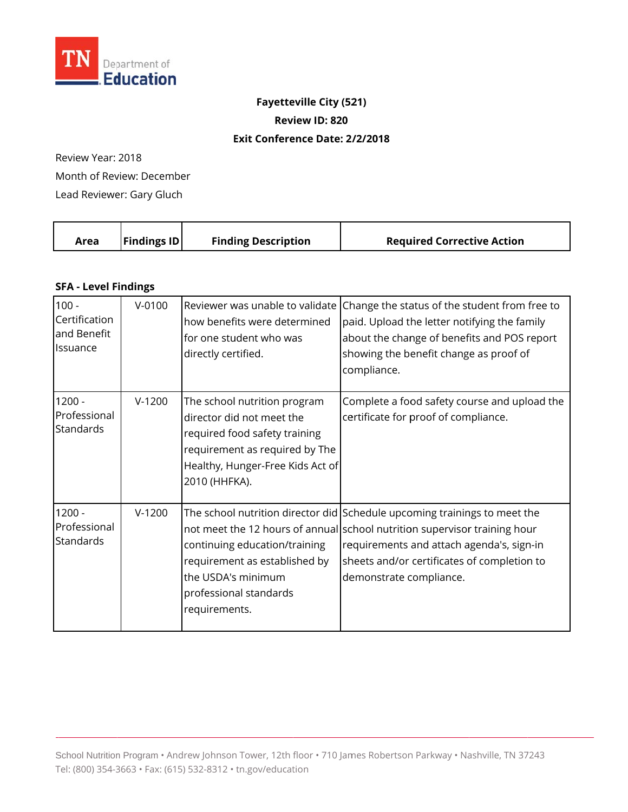

## **Fayetteville City (521) Review ID: 820**

## **Exit Conference Date: 2 /2/2018**

Review Year: 2018 Month of Review: December Lead Reviewer: Gary Gluch

| Area | <b>Findings ID</b> | <b>Finding Description</b> | <b>Required Corrective Action</b> |
|------|--------------------|----------------------------|-----------------------------------|
|      |                    |                            |                                   |

## **SFA - Level Findings**

| $100 -$<br>Certification<br>and Benefit<br>Issuance | $V - 0100$ | Reviewer was unable to validate<br>how benefits were determined<br>for one student who was<br>directly certified.                                                                 | Change the status of the student from free to<br>paid. Upload the letter notifying the family<br>about the change of benefits and POS report<br>showing the benefit change as proof of<br>compliance.                                                                         |
|-----------------------------------------------------|------------|-----------------------------------------------------------------------------------------------------------------------------------------------------------------------------------|-------------------------------------------------------------------------------------------------------------------------------------------------------------------------------------------------------------------------------------------------------------------------------|
| $1200 -$<br>Professional<br>Standards               | $V-1200$   | The school nutrition program<br>director did not meet the<br>required food safety training<br>requirement as required by The<br>Healthy, Hunger-Free Kids Act of<br>2010 (HHFKA). | Complete a food safety course and upload the<br>certificate for proof of compliance.                                                                                                                                                                                          |
| $1200 -$<br>Professional<br><b>Standards</b>        | $V-1200$   | continuing education/training<br>requirement as established by<br>the USDA's minimum<br>professional standards<br>requirements.                                                   | The school nutrition director did Schedule upcoming trainings to meet the<br>not meet the 12 hours of annual school nutrition supervisor training hour<br>requirements and attach agenda's, sign-in<br>sheets and/or certificates of completion to<br>demonstrate compliance. |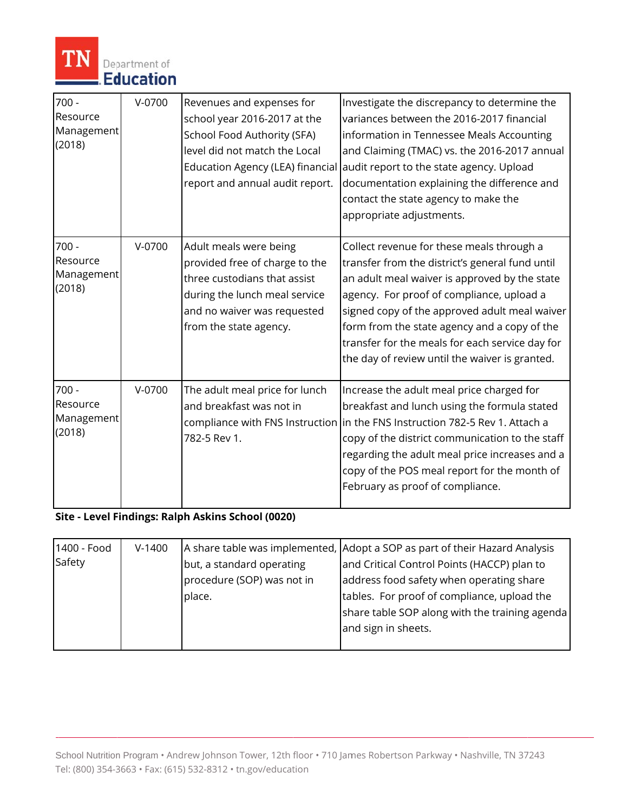

| $700 -$<br>Resource<br>Management<br>(2018) | $V-0700$ | Revenues and expenses for<br>school year 2016-2017 at the<br>School Food Authority (SFA)<br>level did not match the Local<br>Education Agency (LEA) financial<br>report and annual audit report. | Investigate the discrepancy to determine the<br>variances between the 2016-2017 financial<br>information in Tennessee Meals Accounting<br>and Claiming (TMAC) vs. the 2016-2017 annual<br>audit report to the state agency. Upload<br>documentation explaining the difference and<br>contact the state agency to make the<br>appropriate adjustments.                                            |
|---------------------------------------------|----------|--------------------------------------------------------------------------------------------------------------------------------------------------------------------------------------------------|--------------------------------------------------------------------------------------------------------------------------------------------------------------------------------------------------------------------------------------------------------------------------------------------------------------------------------------------------------------------------------------------------|
| $700 -$<br>Resource<br>Management<br>(2018) | $V-0700$ | Adult meals were being<br>provided free of charge to the<br>three custodians that assist<br>during the lunch meal service<br>and no waiver was requested<br>from the state agency.               | Collect revenue for these meals through a<br>transfer from the district's general fund until<br>an adult meal waiver is approved by the state<br>agency. For proof of compliance, upload a<br>signed copy of the approved adult meal waiver<br>form from the state agency and a copy of the<br>transfer for the meals for each service day for<br>the day of review until the waiver is granted. |
| $700 -$<br>Resource<br>Management<br>(2018) | $V-0700$ | The adult meal price for lunch<br>and breakfast was not in<br>782-5 Rev 1.                                                                                                                       | Increase the adult meal price charged for<br>breakfast and lunch using the formula stated<br>compliance with FNS Instruction in the FNS Instruction 782-5 Rev 1. Attach a<br>copy of the district communication to the staff<br>regarding the adult meal price increases and a<br>copy of the POS meal report for the month of<br>February as proof of compliance.                               |

**Site - Level Findings: Ralph Askins School (0020)** 

| 1400 - Food | $V-1400$ |                            | A share table was implemented, Adopt a SOP as part of their Hazard Analysis |
|-------------|----------|----------------------------|-----------------------------------------------------------------------------|
| Safety      |          | but, a standard operating  | and Critical Control Points (HACCP) plan to                                 |
|             |          | procedure (SOP) was not in | address food safety when operating share                                    |
|             |          | place.                     | tables. For proof of compliance, upload the                                 |
|             |          |                            | share table SOP along with the training agenda                              |
|             |          |                            | and sign in sheets.                                                         |
|             |          |                            |                                                                             |